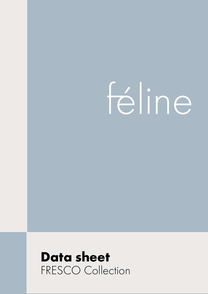# féline

## **Data sheet** FRESCO Collection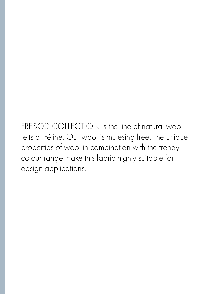FRESCO COLLECTION is the line of natural wool felts of Féline. Our wool is mulesing free. The unique properties of wool in combination with the trendy colour range make this fabric highly suitable for design applications.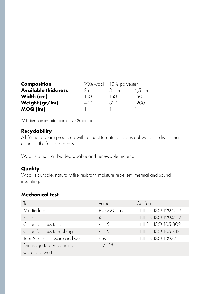| <b>Composition</b>         | 90% wool       | 10 % polyester   |                  |
|----------------------------|----------------|------------------|------------------|
| <b>Available thickness</b> | $2 \text{ mm}$ | $3 \, \text{mm}$ | $4,5 \text{ mm}$ |
| Width (cm)                 | 1.50           | 1.50             | 1.50             |
| Weight (gr/lm)             | 420            | 820              | 1200             |
| MOQ (lm)                   |                |                  |                  |

\*All thicknesses available from stock in 26 colours.

#### **Recyclability**

All Féline felts are produced with respect to nature. No use of water or drying machines in the felting process.

Wool is a natural, biodegradable and renewable material.

#### **Quality**

Wool is durable, naturally fire resistant, moisture repellent, thermal and sound insulating.

#### **Mechanical test**

| Test                          | Value          | Conform                   |
|-------------------------------|----------------|---------------------------|
| Martindale                    | 80.000 turns   | <b>UNI EN ISO 12947-2</b> |
| Pilling                       | $\overline{A}$ | <b>UNI EN ISO 12945-2</b> |
| Colourfastness to light       | $4 \mid 5$     | <b>UNI EN ISO 105 B02</b> |
| Colourfastness to rubbing     | $4 \mid 5$     | <b>UNI EN ISO 105 X12</b> |
| Tear Strenght   warp and weft | pass           | <b>UNI EN ISO 13937</b>   |
| Shrinkage to dry cleaning     | $+/-$ 1%       |                           |
| warp and weft                 |                |                           |